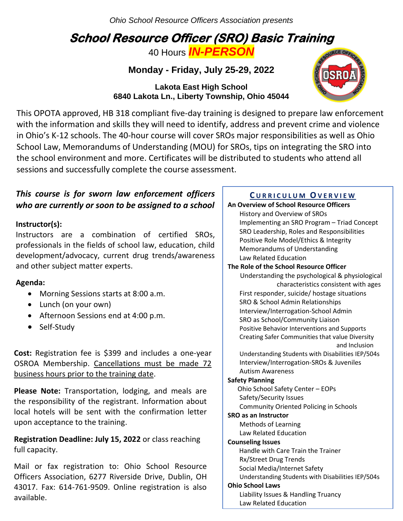*Ohio School Resource Officers Association presents*

# **School Resource Officer (SRO) Basic Training**

40 Hours *IN-PERSON*

**Monday - Friday, July 25-29, 2022**

**Lakota East High School 6840 Lakota Ln., Liberty Township, Ohio 45044**



 This OPOTA approved, HB 318 compliant five-day training is designed to prepare law enforcement with the information and skills they will need to identify, address and prevent crime and violence in Ohio's K-12 schools. The 40-hour course will cover SROs major responsibilities as well as Ohio School Law, Memorandums of Understanding (MOU) for SROs, tips on integrating the SRO into the school environment and more. Certificates will be distributed to students who attend all sessions and successfully complete the course assessment.

## *This course is for sworn law enforcement officers who are currently or soon to be assigned to a school*

#### $\textsf{Instrumentor}(\textsf{s})$ :

e<br>development/advocacy, current drug trends/awareness Instructors are a combination of certified SROs, professionals in the fields of school law, education, child and other subject matter experts.

### **Agenda:**

- Morning Sessions starts at 8:00 a.m.
- Lunch (on your own)
- Afternoon Sessions end at 4:00 p.m.
- Self-Study

**Cost:** Registration fee is \$399 and includes a one-year OSROA Membership. Cancellations must be made 72 business hours prior to the training date.

**Please Note:** Transportation, lodging, and meals are the responsibility of the registrant. Information about local hotels will be sent with the confirmation letter upon acceptance to the training.

**Registration Deadline: July 15, 2022** or class reaching full capacity.

Mail or fax registration to: Ohio School Resource Officers Association, 6277 Riverside Drive, Dublin, OH 43017. Fax: 614-761-9509. Online registration is also available.

## **C U R R I C U L U M OV E R V I E W**